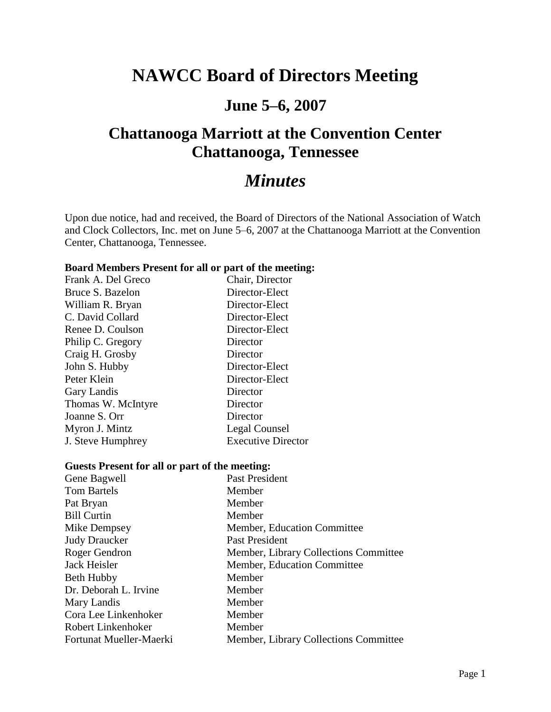# **NAWCC Board of Directors Meeting**

# **June 5–6, 2007**

# **Chattanooga Marriott at the Convention Center Chattanooga, Tennessee**

# *Minutes*

Upon due notice, had and received, the Board of Directors of the National Association of Watch and Clock Collectors, Inc. met on June 5–6, 2007 at the Chattanooga Marriott at the Convention Center, Chattanooga, Tennessee.

#### **Board Members Present for all or part of the meeting:**

| Frank A. Del Greco | Chair, Director           |
|--------------------|---------------------------|
| Bruce S. Bazelon   | Director-Elect            |
| William R. Bryan   | Director-Elect            |
| C. David Collard   | Director-Elect            |
| Renee D. Coulson   | Director-Elect            |
| Philip C. Gregory  | Director                  |
| Craig H. Grosby    | Director                  |
| John S. Hubby      | Director-Elect            |
| Peter Klein        | Director-Elect            |
| Gary Landis        | Director                  |
| Thomas W. McIntyre | Director                  |
| Joanne S. Orr      | Director                  |
| Myron J. Mintz     | Legal Counsel             |
| J. Steve Humphrey  | <b>Executive Director</b> |
|                    |                           |

#### **Guests Present for all or part of the meeting:**

| Gene Bagwell            | Past President                        |
|-------------------------|---------------------------------------|
| <b>Tom Bartels</b>      | Member                                |
| Pat Bryan               | Member                                |
| <b>Bill Curtin</b>      | Member                                |
| Mike Dempsey            | Member, Education Committee           |
| <b>Judy Draucker</b>    | Past President                        |
| Roger Gendron           | Member, Library Collections Committee |
| Jack Heisler            | Member, Education Committee           |
| <b>Beth Hubby</b>       | Member                                |
| Dr. Deborah L. Irvine   | Member                                |
| Mary Landis             | Member                                |
| Cora Lee Linkenhoker    | Member                                |
| Robert Linkenhoker      | Member                                |
| Fortunat Mueller-Maerki | Member, Library Collections Committee |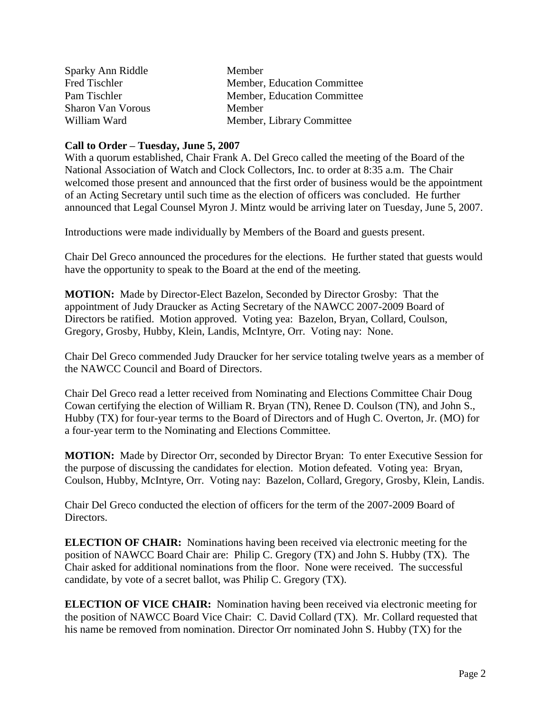| Sparky Ann Riddle        | Member                      |
|--------------------------|-----------------------------|
| Fred Tischler            | Member, Education Committee |
| Pam Tischler             | Member, Education Committee |
| <b>Sharon Van Vorous</b> | Member                      |
| William Ward             | Member, Library Committee   |

#### **Call to Order – Tuesday, June 5, 2007**

With a quorum established, Chair Frank A. Del Greco called the meeting of the Board of the National Association of Watch and Clock Collectors, Inc. to order at 8:35 a.m. The Chair welcomed those present and announced that the first order of business would be the appointment of an Acting Secretary until such time as the election of officers was concluded. He further announced that Legal Counsel Myron J. Mintz would be arriving later on Tuesday, June 5, 2007.

Introductions were made individually by Members of the Board and guests present.

Chair Del Greco announced the procedures for the elections. He further stated that guests would have the opportunity to speak to the Board at the end of the meeting.

**MOTION:** Made by Director-Elect Bazelon, Seconded by Director Grosby:That the appointment of Judy Draucker as Acting Secretary of the NAWCC 2007-2009 Board of Directors be ratified. Motion approved. Voting yea: Bazelon, Bryan, Collard, Coulson, Gregory, Grosby, Hubby, Klein, Landis, McIntyre, Orr. Voting nay: None.

Chair Del Greco commended Judy Draucker for her service totaling twelve years as a member of the NAWCC Council and Board of Directors.

Chair Del Greco read a letter received from Nominating and Elections Committee Chair Doug Cowan certifying the election of William R. Bryan (TN), Renee D. Coulson (TN), and John S., Hubby (TX) for four-year terms to the Board of Directors and of Hugh C. Overton, Jr. (MO) for a four-year term to the Nominating and Elections Committee.

**MOTION:** Made by Director Orr, seconded by Director Bryan: To enter Executive Session for the purpose of discussing the candidates for election. Motion defeated. Voting yea: Bryan, Coulson, Hubby, McIntyre, Orr. Voting nay: Bazelon, Collard, Gregory, Grosby, Klein, Landis.

Chair Del Greco conducted the election of officers for the term of the 2007-2009 Board of Directors.

**ELECTION OF CHAIR:** Nominations having been received via electronic meeting for the position of NAWCC Board Chair are: Philip C. Gregory (TX) and John S. Hubby (TX). The Chair asked for additional nominations from the floor. None were received. The successful candidate, by vote of a secret ballot, was Philip C. Gregory (TX).

**ELECTION OF VICE CHAIR:** Nomination having been received via electronic meeting for the position of NAWCC Board Vice Chair: C. David Collard (TX). Mr. Collard requested that his name be removed from nomination. Director Orr nominated John S. Hubby (TX) for the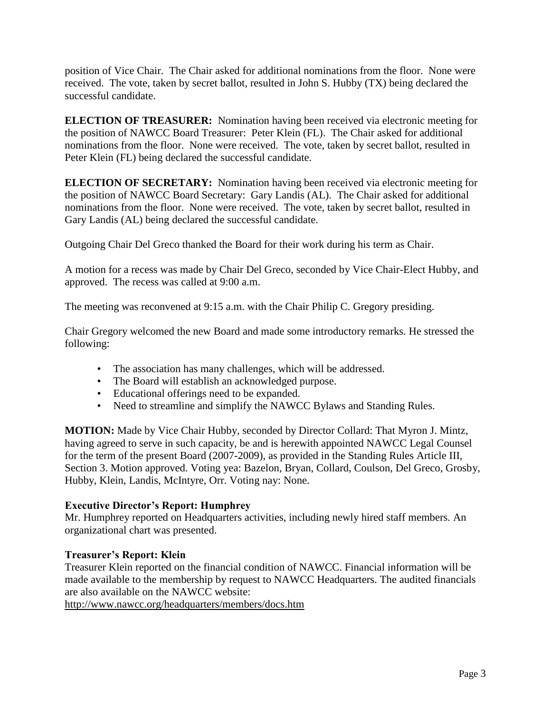position of Vice Chair. The Chair asked for additional nominations from the floor. None were received. The vote, taken by secret ballot, resulted in John S. Hubby (TX) being declared the successful candidate.

**ELECTION OF TREASURER:** Nomination having been received via electronic meeting for the position of NAWCC Board Treasurer: Peter Klein (FL). The Chair asked for additional nominations from the floor. None were received. The vote, taken by secret ballot, resulted in Peter Klein (FL) being declared the successful candidate.

**ELECTION OF SECRETARY:** Nomination having been received via electronic meeting for the position of NAWCC Board Secretary: Gary Landis (AL). The Chair asked for additional nominations from the floor. None were received. The vote, taken by secret ballot, resulted in Gary Landis (AL) being declared the successful candidate.

Outgoing Chair Del Greco thanked the Board for their work during his term as Chair.

A motion for a recess was made by Chair Del Greco, seconded by Vice Chair-Elect Hubby, and approved. The recess was called at 9:00 a.m.

The meeting was reconvened at 9:15 a.m. with the Chair Philip C. Gregory presiding.

Chair Gregory welcomed the new Board and made some introductory remarks. He stressed the following:

- The association has many challenges, which will be addressed.
- The Board will establish an acknowledged purpose.
- Educational offerings need to be expanded.
- Need to streamline and simplify the NAWCC Bylaws and Standing Rules.

**MOTION:** Made by Vice Chair Hubby, seconded by Director Collard: That Myron J. Mintz, having agreed to serve in such capacity, be and is herewith appointed NAWCC Legal Counsel for the term of the present Board (2007-2009), as provided in the Standing Rules Article III, Section 3. Motion approved. Voting yea: Bazelon, Bryan, Collard, Coulson, Del Greco, Grosby, Hubby, Klein, Landis, McIntyre, Orr. Voting nay: None.

#### **Executive Director's Report: Humphrey**

Mr. Humphrey reported on Headquarters activities, including newly hired staff members. An organizational chart was presented.

#### **Treasurer's Report: Klein**

Treasurer Klein reported on the financial condition of NAWCC. Financial information will be made available to the membership by request to NAWCC Headquarters. The audited financials are also available on the NAWCC website:

<http://www.nawcc.org/headquarters/members/docs.htm>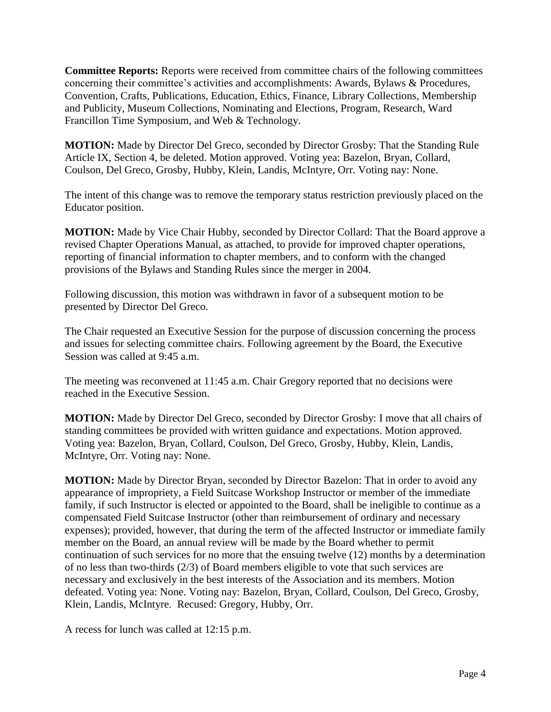**Committee Reports:** Reports were received from committee chairs of the following committees concerning their committee's activities and accomplishments: Awards, Bylaws & Procedures, Convention, Crafts, Publications, Education, Ethics, Finance, Library Collections, Membership and Publicity, Museum Collections, Nominating and Elections, Program, Research, Ward Francillon Time Symposium, and Web & Technology.

**MOTION:** Made by Director Del Greco, seconded by Director Grosby: That the Standing Rule Article IX, Section 4, be deleted. Motion approved. Voting yea: Bazelon, Bryan, Collard, Coulson, Del Greco, Grosby, Hubby, Klein, Landis, McIntyre, Orr. Voting nay: None.

The intent of this change was to remove the temporary status restriction previously placed on the Educator position.

**MOTION:** Made by Vice Chair Hubby, seconded by Director Collard: That the Board approve a revised Chapter Operations Manual, as attached, to provide for improved chapter operations, reporting of financial information to chapter members, and to conform with the changed provisions of the Bylaws and Standing Rules since the merger in 2004.

Following discussion, this motion was withdrawn in favor of a subsequent motion to be presented by Director Del Greco.

The Chair requested an Executive Session for the purpose of discussion concerning the process and issues for selecting committee chairs. Following agreement by the Board, the Executive Session was called at 9:45 a.m.

The meeting was reconvened at 11:45 a.m. Chair Gregory reported that no decisions were reached in the Executive Session.

**MOTION:** Made by Director Del Greco, seconded by Director Grosby: I move that all chairs of standing committees be provided with written guidance and expectations. Motion approved. Voting yea: Bazelon, Bryan, Collard, Coulson, Del Greco, Grosby, Hubby, Klein, Landis, McIntyre, Orr. Voting nay: None.

**MOTION:** Made by Director Bryan, seconded by Director Bazelon: That in order to avoid any appearance of impropriety, a Field Suitcase Workshop Instructor or member of the immediate family, if such Instructor is elected or appointed to the Board, shall be ineligible to continue as a compensated Field Suitcase Instructor (other than reimbursement of ordinary and necessary expenses); provided, however, that during the term of the affected Instructor or immediate family member on the Board, an annual review will be made by the Board whether to permit continuation of such services for no more that the ensuing twelve (12) months by a determination of no less than two-thirds (2/3) of Board members eligible to vote that such services are necessary and exclusively in the best interests of the Association and its members. Motion defeated. Voting yea: None. Voting nay: Bazelon, Bryan, Collard, Coulson, Del Greco, Grosby, Klein, Landis, McIntyre. Recused: Gregory, Hubby, Orr.

A recess for lunch was called at 12:15 p.m.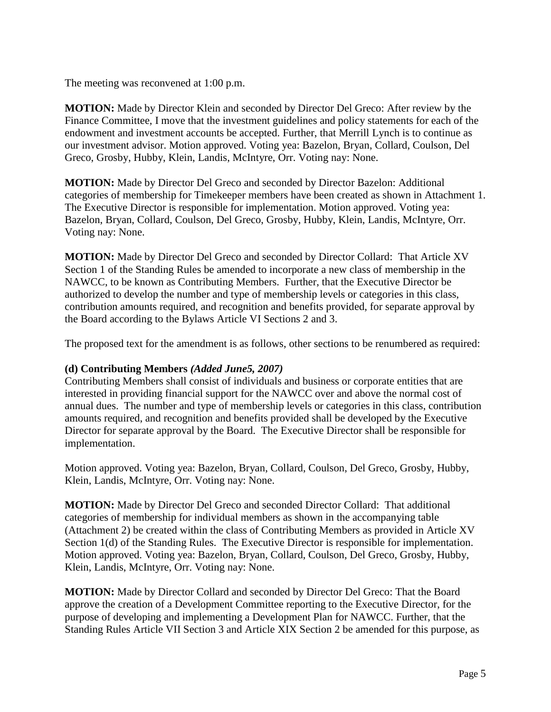The meeting was reconvened at 1:00 p.m.

**MOTION:** Made by Director Klein and seconded by Director Del Greco: After review by the Finance Committee, I move that the investment guidelines and policy statements for each of the endowment and investment accounts be accepted. Further, that Merrill Lynch is to continue as our investment advisor. Motion approved. Voting yea: Bazelon, Bryan, Collard, Coulson, Del Greco, Grosby, Hubby, Klein, Landis, McIntyre, Orr. Voting nay: None.

**MOTION:** Made by Director Del Greco and seconded by Director Bazelon: Additional categories of membership for Timekeeper members have been created as shown in Attachment 1. The Executive Director is responsible for implementation. Motion approved. Voting yea: Bazelon, Bryan, Collard, Coulson, Del Greco, Grosby, Hubby, Klein, Landis, McIntyre, Orr. Voting nay: None.

**MOTION:** Made by Director Del Greco and seconded by Director Collard: That Article XV Section 1 of the Standing Rules be amended to incorporate a new class of membership in the NAWCC, to be known as Contributing Members. Further, that the Executive Director be authorized to develop the number and type of membership levels or categories in this class, contribution amounts required, and recognition and benefits provided, for separate approval by the Board according to the Bylaws Article VI Sections 2 and 3.

The proposed text for the amendment is as follows, other sections to be renumbered as required:

## **(d) Contributing Members** *(Added June5, 2007)*

Contributing Members shall consist of individuals and business or corporate entities that are interested in providing financial support for the NAWCC over and above the normal cost of annual dues. The number and type of membership levels or categories in this class, contribution amounts required, and recognition and benefits provided shall be developed by the Executive Director for separate approval by the Board. The Executive Director shall be responsible for implementation.

Motion approved. Voting yea: Bazelon, Bryan, Collard, Coulson, Del Greco, Grosby, Hubby, Klein, Landis, McIntyre, Orr. Voting nay: None.

**MOTION:** Made by Director Del Greco and seconded Director Collard: That additional categories of membership for individual members as shown in the accompanying table (Attachment 2) be created within the class of Contributing Members as provided in Article XV Section 1(d) of the Standing Rules. The Executive Director is responsible for implementation. Motion approved. Voting yea: Bazelon, Bryan, Collard, Coulson, Del Greco, Grosby, Hubby, Klein, Landis, McIntyre, Orr. Voting nay: None.

**MOTION:** Made by Director Collard and seconded by Director Del Greco: That the Board approve the creation of a Development Committee reporting to the Executive Director, for the purpose of developing and implementing a Development Plan for NAWCC. Further, that the Standing Rules Article VII Section 3 and Article XIX Section 2 be amended for this purpose, as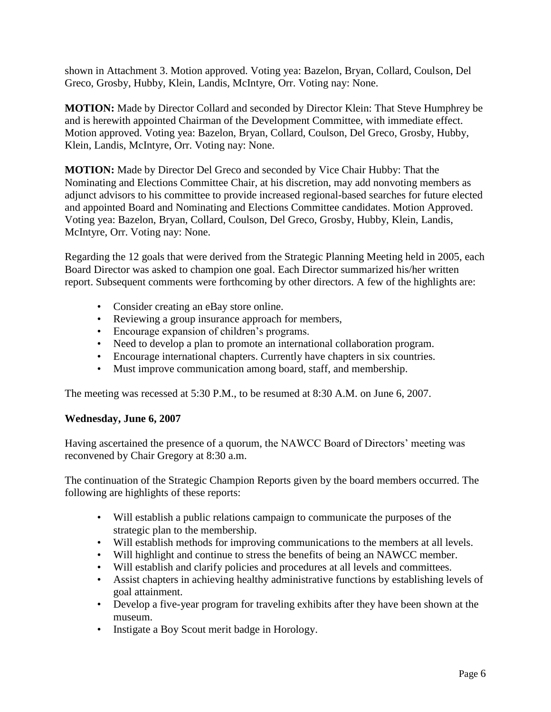shown in Attachment 3. Motion approved. Voting yea: Bazelon, Bryan, Collard, Coulson, Del Greco, Grosby, Hubby, Klein, Landis, McIntyre, Orr. Voting nay: None.

**MOTION:** Made by Director Collard and seconded by Director Klein: That Steve Humphrey be and is herewith appointed Chairman of the Development Committee, with immediate effect. Motion approved. Voting yea: Bazelon, Bryan, Collard, Coulson, Del Greco, Grosby, Hubby, Klein, Landis, McIntyre, Orr. Voting nay: None.

**MOTION:** Made by Director Del Greco and seconded by Vice Chair Hubby: That the Nominating and Elections Committee Chair, at his discretion, may add nonvoting members as adjunct advisors to his committee to provide increased regional-based searches for future elected and appointed Board and Nominating and Elections Committee candidates. Motion Approved. Voting yea: Bazelon, Bryan, Collard, Coulson, Del Greco, Grosby, Hubby, Klein, Landis, McIntyre, Orr. Voting nay: None.

Regarding the 12 goals that were derived from the Strategic Planning Meeting held in 2005, each Board Director was asked to champion one goal. Each Director summarized his/her written report. Subsequent comments were forthcoming by other directors. A few of the highlights are:

- Consider creating an eBay store online.
- Reviewing a group insurance approach for members,
- Encourage expansion of children's programs.
- Need to develop a plan to promote an international collaboration program.
- Encourage international chapters. Currently have chapters in six countries.
- Must improve communication among board, staff, and membership.

The meeting was recessed at 5:30 P.M., to be resumed at 8:30 A.M. on June 6, 2007.

#### **Wednesday, June 6, 2007**

Having ascertained the presence of a quorum, the NAWCC Board of Directors' meeting was reconvened by Chair Gregory at 8:30 a.m.

The continuation of the Strategic Champion Reports given by the board members occurred. The following are highlights of these reports:

- Will establish a public relations campaign to communicate the purposes of the strategic plan to the membership.
- Will establish methods for improving communications to the members at all levels.
- Will highlight and continue to stress the benefits of being an NAWCC member.
- Will establish and clarify policies and procedures at all levels and committees.
- Assist chapters in achieving healthy administrative functions by establishing levels of goal attainment.
- Develop a five-year program for traveling exhibits after they have been shown at the museum.
- Instigate a Boy Scout merit badge in Horology.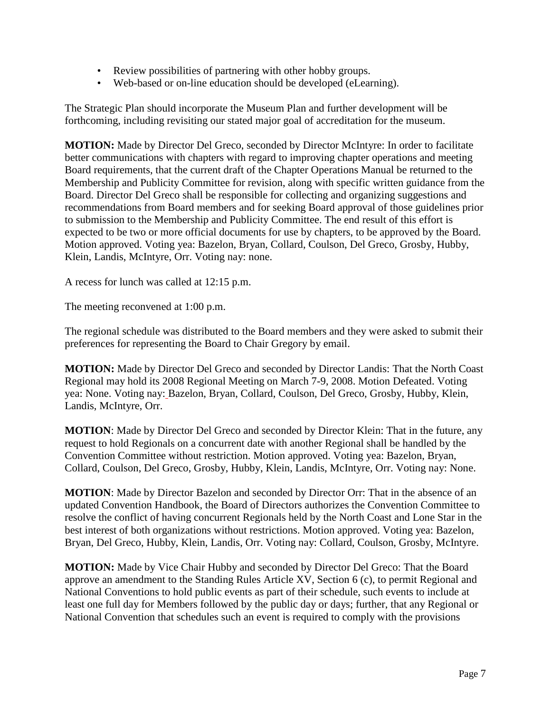- Review possibilities of partnering with other hobby groups.
- Web-based or on-line education should be developed (eLearning).

The Strategic Plan should incorporate the Museum Plan and further development will be forthcoming, including revisiting our stated major goal of accreditation for the museum.

**MOTION:** Made by Director Del Greco, seconded by Director McIntyre: In order to facilitate better communications with chapters with regard to improving chapter operations and meeting Board requirements, that the current draft of the Chapter Operations Manual be returned to the Membership and Publicity Committee for revision, along with specific written guidance from the Board. Director Del Greco shall be responsible for collecting and organizing suggestions and recommendations from Board members and for seeking Board approval of those guidelines prior to submission to the Membership and Publicity Committee. The end result of this effort is expected to be two or more official documents for use by chapters, to be approved by the Board. Motion approved. Voting yea: Bazelon, Bryan, Collard, Coulson, Del Greco, Grosby, Hubby, Klein, Landis, McIntyre, Orr. Voting nay: none.

A recess for lunch was called at 12:15 p.m.

The meeting reconvened at 1:00 p.m.

The regional schedule was distributed to the Board members and they were asked to submit their preferences for representing the Board to Chair Gregory by email.

**MOTION:** Made by Director Del Greco and seconded by Director Landis: That the North Coast Regional may hold its 2008 Regional Meeting on March 7-9, 2008. Motion Defeated. Voting yea: None. Voting nay: Bazelon, Bryan, Collard, Coulson, Del Greco, Grosby, Hubby, Klein, Landis, McIntyre, Orr.

**MOTION**: Made by Director Del Greco and seconded by Director Klein: That in the future, any request to hold Regionals on a concurrent date with another Regional shall be handled by the Convention Committee without restriction. Motion approved. Voting yea: Bazelon, Bryan, Collard, Coulson, Del Greco, Grosby, Hubby, Klein, Landis, McIntyre, Orr. Voting nay: None.

**MOTION**: Made by Director Bazelon and seconded by Director Orr: That in the absence of an updated Convention Handbook, the Board of Directors authorizes the Convention Committee to resolve the conflict of having concurrent Regionals held by the North Coast and Lone Star in the best interest of both organizations without restrictions. Motion approved. Voting yea: Bazelon, Bryan, Del Greco, Hubby, Klein, Landis, Orr. Voting nay: Collard, Coulson, Grosby, McIntyre.

**MOTION:** Made by Vice Chair Hubby and seconded by Director Del Greco: That the Board approve an amendment to the Standing Rules Article XV, Section 6 (c), to permit Regional and National Conventions to hold public events as part of their schedule, such events to include at least one full day for Members followed by the public day or days; further, that any Regional or National Convention that schedules such an event is required to comply with the provisions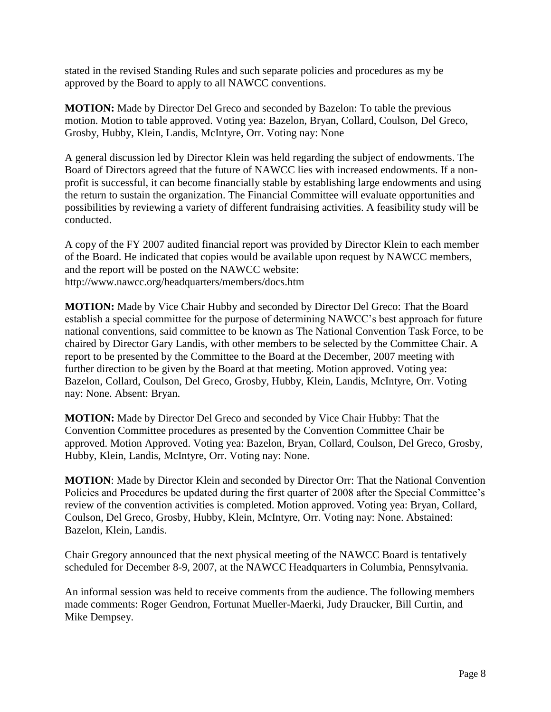stated in the revised Standing Rules and such separate policies and procedures as my be approved by the Board to apply to all NAWCC conventions.

**MOTION:** Made by Director Del Greco and seconded by Bazelon: To table the previous motion. Motion to table approved. Voting yea: Bazelon, Bryan, Collard, Coulson, Del Greco, Grosby, Hubby, Klein, Landis, McIntyre, Orr. Voting nay: None

A general discussion led by Director Klein was held regarding the subject of endowments. The Board of Directors agreed that the future of NAWCC lies with increased endowments. If a nonprofit is successful, it can become financially stable by establishing large endowments and using the return to sustain the organization. The Financial Committee will evaluate opportunities and possibilities by reviewing a variety of different fundraising activities. A feasibility study will be conducted.

A copy of the FY 2007 audited financial report was provided by Director Klein to each member of the Board. He indicated that copies would be available upon request by NAWCC members, and the report will be posted on the NAWCC website: http://www.nawcc.org/headquarters/members/docs.htm

**MOTION:** Made by Vice Chair Hubby and seconded by Director Del Greco: That the Board establish a special committee for the purpose of determining NAWCC's best approach for future national conventions, said committee to be known as The National Convention Task Force, to be chaired by Director Gary Landis, with other members to be selected by the Committee Chair. A report to be presented by the Committee to the Board at the December, 2007 meeting with further direction to be given by the Board at that meeting. Motion approved. Voting yea: Bazelon, Collard, Coulson, Del Greco, Grosby, Hubby, Klein, Landis, McIntyre, Orr. Voting nay: None. Absent: Bryan.

**MOTION:** Made by Director Del Greco and seconded by Vice Chair Hubby: That the Convention Committee procedures as presented by the Convention Committee Chair be approved. Motion Approved. Voting yea: Bazelon, Bryan, Collard, Coulson, Del Greco, Grosby, Hubby, Klein, Landis, McIntyre, Orr. Voting nay: None.

**MOTION**: Made by Director Klein and seconded by Director Orr: That the National Convention Policies and Procedures be updated during the first quarter of 2008 after the Special Committee's review of the convention activities is completed. Motion approved. Voting yea: Bryan, Collard, Coulson, Del Greco, Grosby, Hubby, Klein, McIntyre, Orr. Voting nay: None. Abstained: Bazelon, Klein, Landis.

Chair Gregory announced that the next physical meeting of the NAWCC Board is tentatively scheduled for December 8-9, 2007, at the NAWCC Headquarters in Columbia, Pennsylvania.

An informal session was held to receive comments from the audience. The following members made comments: Roger Gendron, Fortunat Mueller-Maerki, Judy Draucker, Bill Curtin, and Mike Dempsey.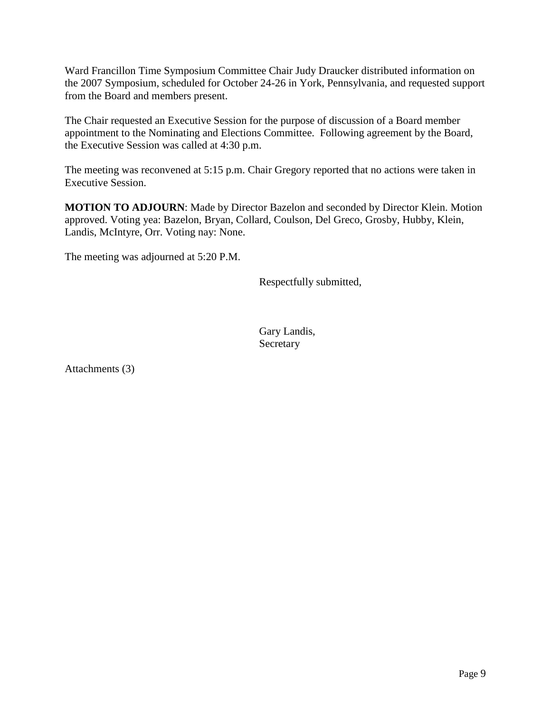Ward Francillon Time Symposium Committee Chair Judy Draucker distributed information on the 2007 Symposium, scheduled for October 24-26 in York, Pennsylvania, and requested support from the Board and members present.

The Chair requested an Executive Session for the purpose of discussion of a Board member appointment to the Nominating and Elections Committee. Following agreement by the Board, the Executive Session was called at 4:30 p.m.

The meeting was reconvened at 5:15 p.m. Chair Gregory reported that no actions were taken in Executive Session.

**MOTION TO ADJOURN**: Made by Director Bazelon and seconded by Director Klein. Motion approved. Voting yea: Bazelon, Bryan, Collard, Coulson, Del Greco, Grosby, Hubby, Klein, Landis, McIntyre, Orr. Voting nay: None.

The meeting was adjourned at 5:20 P.M.

Respectfully submitted,

Gary Landis, **Secretary** 

Attachments (3)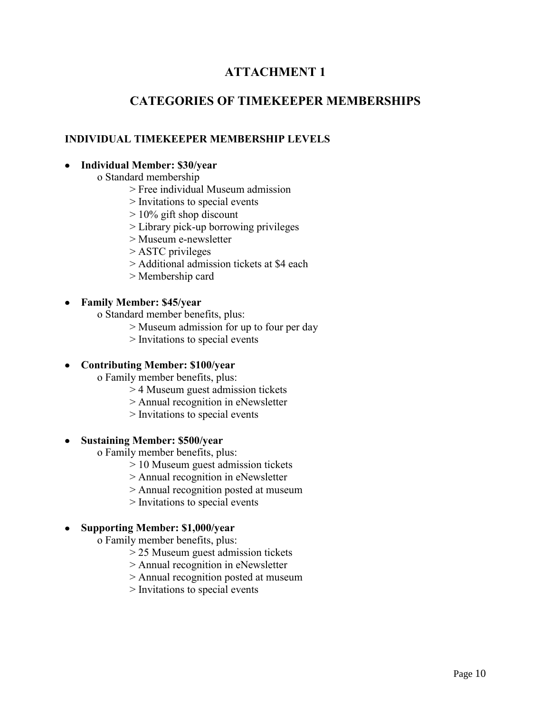# **ATTACHMENT 1**

# **CATEGORIES OF TIMEKEEPER MEMBERSHIPS**

## **INDIVIDUAL TIMEKEEPER MEMBERSHIP LEVELS**

### **Individual Member: \$30/year**

- o Standard membership
	- > Free individual Museum admission
	- > Invitations to special events
	- > 10% gift shop discount
	- > Library pick-up borrowing privileges
	- > Museum e-newsletter
	- > ASTC privileges
	- > Additional admission tickets at \$4 each
	- > Membership card

## **Family Member: \$45/year**

- o Standard member benefits, plus:
	- > Museum admission for up to four per day
	- > Invitations to special events

## **Contributing Member: \$100/year**

- o Family member benefits, plus:
	- > 4 Museum guest admission tickets
	- > Annual recognition in eNewsletter
	- > Invitations to special events
- **Sustaining Member: \$500/year**
	- o Family member benefits, plus:
		- > 10 Museum guest admission tickets
		- > Annual recognition in eNewsletter
		- > Annual recognition posted at museum
		- > Invitations to special events
- **Supporting Member: \$1,000/year**
	- o Family member benefits, plus:
		- > 25 Museum guest admission tickets
		- > Annual recognition in eNewsletter
		- > Annual recognition posted at museum
		- > Invitations to special events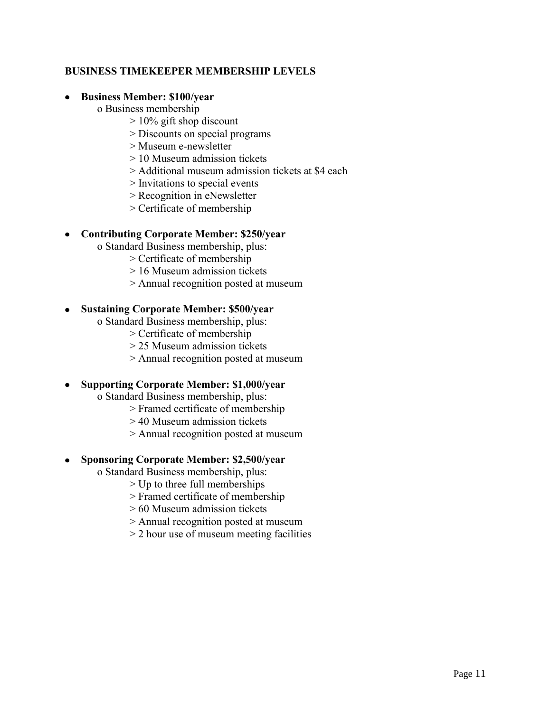### **BUSINESS TIMEKEEPER MEMBERSHIP LEVELS**

#### **Business Member: \$100/year**

o Business membership

- > 10% gift shop discount
- > Discounts on special programs
- > Museum e-newsletter
- > 10 Museum admission tickets
- > Additional museum admission tickets at \$4 each
- > Invitations to special events
- > Recognition in eNewsletter
- > Certificate of membership

## **Contributing Corporate Member: \$250/year**

- o Standard Business membership, plus:
	- > Certificate of membership
	- > 16 Museum admission tickets
	- > Annual recognition posted at museum

#### **Sustaining Corporate Member: \$500/year**

o Standard Business membership, plus:

- > Certificate of membership
- > 25 Museum admission tickets
- > Annual recognition posted at museum

## **Supporting Corporate Member: \$1,000/year**

- o Standard Business membership, plus:
	- > Framed certificate of membership
	- > 40 Museum admission tickets
	- > Annual recognition posted at museum

## **Sponsoring Corporate Member: \$2,500/year**

- o Standard Business membership, plus:
	- > Up to three full memberships
	- > Framed certificate of membership
	- > 60 Museum admission tickets
	- > Annual recognition posted at museum
	- > 2 hour use of museum meeting facilities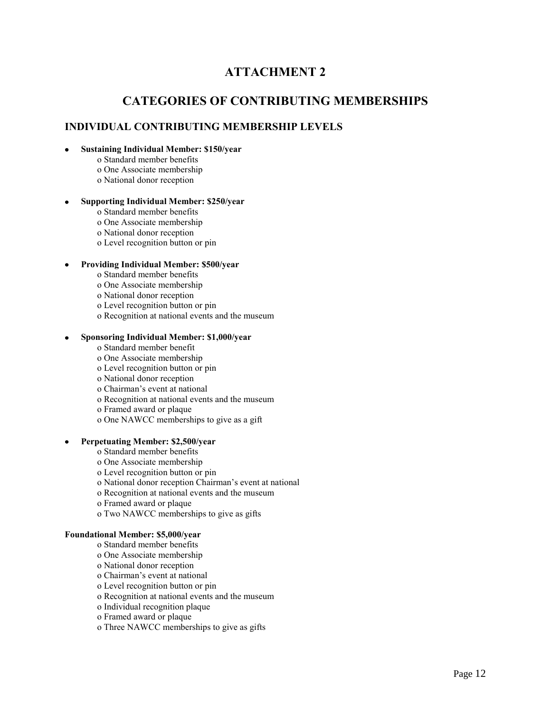# **ATTACHMENT 2**

## **CATEGORIES OF CONTRIBUTING MEMBERSHIPS**

#### **INDIVIDUAL CONTRIBUTING MEMBERSHIP LEVELS**

#### **Sustaining Individual Member: \$150/year**

- o Standard member benefits
- o One Associate membership
- o National donor reception

#### **Supporting Individual Member: \$250/year**

- o Standard member benefits
- o One Associate membership
- o National donor reception
- o Level recognition button or pin

#### **Providing Individual Member: \$500/year**

- o Standard member benefits
- o One Associate membership
- o National donor reception
- o Level recognition button or pin
- o Recognition at national events and the museum

#### **Sponsoring Individual Member: \$1,000/year**

- o Standard member benefit
- o One Associate membership
- o Level recognition button or pin
- o National donor reception
- o Chairman's event at national
- o Recognition at national events and the museum
- o Framed award or plaque
- o One NAWCC memberships to give as a gift

#### **Perpetuating Member: \$2,500/year**

- o Standard member benefits
- o One Associate membership
- o Level recognition button or pin
- o National donor reception Chairman's event at national
- o Recognition at national events and the museum
- o Framed award or plaque
- o Two NAWCC memberships to give as gifts

#### **Foundational Member: \$5,000/year**

- o Standard member benefits
- o One Associate membership
- o National donor reception
- o Chairman's event at national
- o Level recognition button or pin
- o Recognition at national events and the museum
- o Individual recognition plaque
- o Framed award or plaque
- o Three NAWCC memberships to give as gifts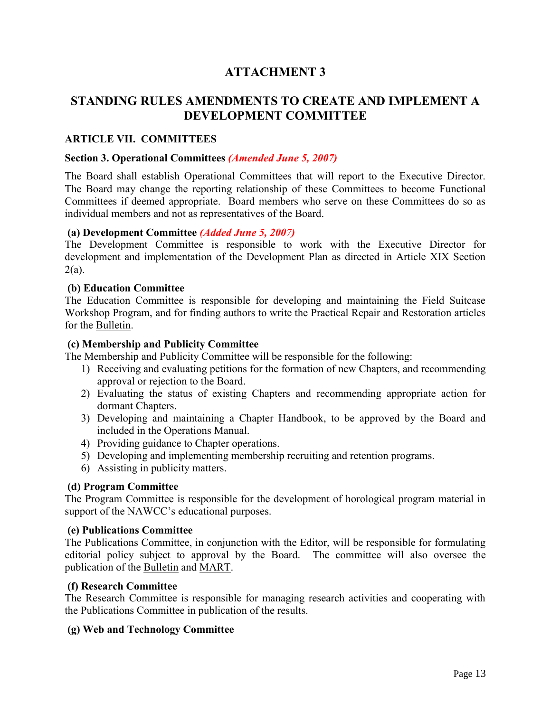# **ATTACHMENT 3**

# **STANDING RULES AMENDMENTS TO CREATE AND IMPLEMENT A DEVELOPMENT COMMITTEE**

### **ARTICLE VII. COMMITTEES**

#### **Section 3. Operational Committees** *(Amended June 5, 2007)*

The Board shall establish Operational Committees that will report to the Executive Director. The Board may change the reporting relationship of these Committees to become Functional Committees if deemed appropriate. Board members who serve on these Committees do so as individual members and not as representatives of the Board.

#### **(a) Development Committee** *(Added June 5, 2007)*

The Development Committee is responsible to work with the Executive Director for development and implementation of the Development Plan as directed in Article XIX Section  $2(a)$ .

#### **(b) Education Committee**

The Education Committee is responsible for developing and maintaining the Field Suitcase Workshop Program, and for finding authors to write the Practical Repair and Restoration articles for the Bulletin.

#### **(c) Membership and Publicity Committee**

The Membership and Publicity Committee will be responsible for the following:

- 1) Receiving and evaluating petitions for the formation of new Chapters, and recommending approval or rejection to the Board.
- 2) Evaluating the status of existing Chapters and recommending appropriate action for dormant Chapters.
- 3) Developing and maintaining a Chapter Handbook, to be approved by the Board and included in the Operations Manual.
- 4) Providing guidance to Chapter operations.
- 5) Developing and implementing membership recruiting and retention programs.
- 6) Assisting in publicity matters.

#### **(d) Program Committee**

The Program Committee is responsible for the development of horological program material in support of the NAWCC's educational purposes.

#### **(e) Publications Committee**

The Publications Committee, in conjunction with the Editor, will be responsible for formulating editorial policy subject to approval by the Board.The committee will also oversee the publication of the Bulletin and MART.

#### **(f) Research Committee**

The Research Committee is responsible for managing research activities and cooperating with the Publications Committee in publication of the results.

#### **(g) Web and Technology Committee**